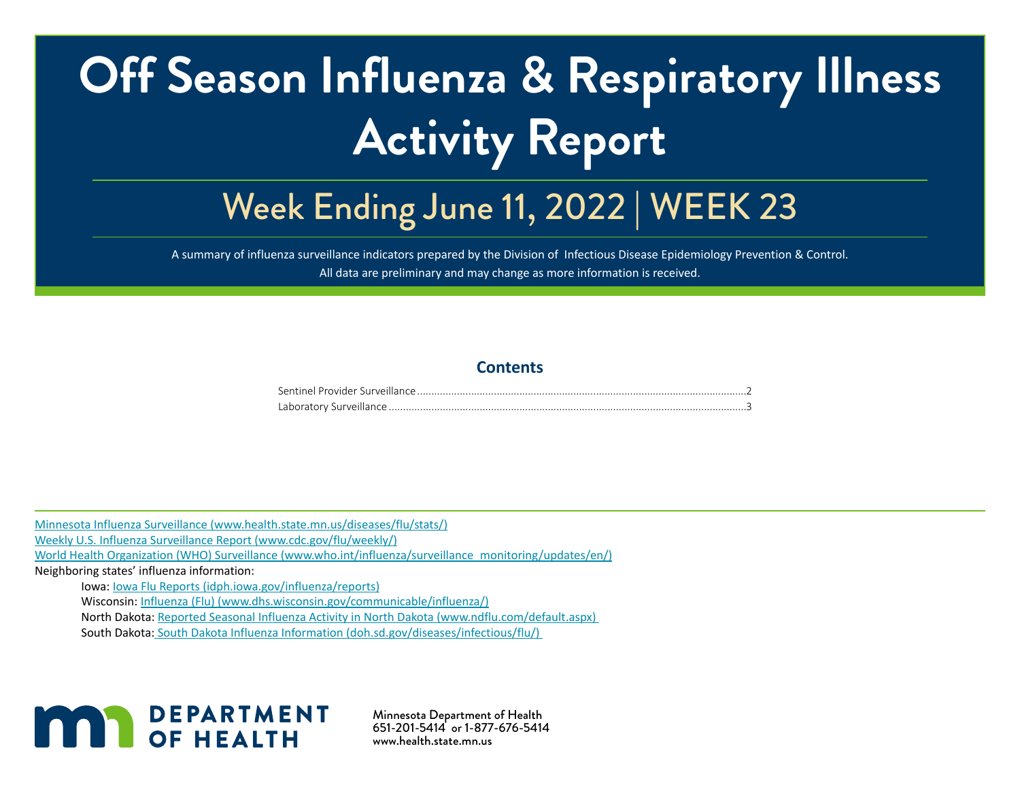# **Off Season Influenza & Respiratory Illness Activity Report**

# Week Ending June 11, 2022 | WEEK 23

A summary of influenza surveillance indicators prepared by the Division of Infectious Disease Epidemiology Prevention & Control. All data are preliminary and may change as more information is received.

#### **Contents**

[Minnesota Influenza Surveillance \(www.health.state.mn.us/diseases/flu/stats/\)](http://Minnesota Influenza Surveillance (www.health.state.mn.us/diseases/flu/stats/))

[Weekly U.S. Influenza Surveillance Report \(www.cdc.gov/flu/weekly/\)](http://Weekly U.S. Influenza Surveillance Report (www.cdc.gov/flu/weekly/))

[World Health Organization \(WHO\) Surveillance \(www.who.int/influenza/surveillance\\_monitoring/updates/en/\)](http://World Health Organization (WHO) Surveillance (www.who.int/influenza/surveillance_monitoring/updates/en/) )

Neighboring states' influenza information:

Iowa: [Iowa Flu Reports \(idph.iowa.gov/influenza/reports\)](http://Iowa Flu Reports (idph.iowa.gov/influenza/reports))

Wisconsin: [Influenza \(Flu\) \(www.dhs.wisconsin.gov/communicable/influenza/\)](http://Influenza (Flu) (www.dhs.wisconsin.gov/communicable/influenza/) )

North Dakota: [Reported Seasonal Influenza Activity in North Dakota \(www.ndflu.com/default.aspx\)](http://Reported Seasonal Influenza Activity in North Dakota (www.ndflu.com/default.aspx) ) 

South Dakota[: South Dakota Influenza Information \(doh.sd.gov/diseases/infectious/flu/\)](http:// South Dakota Influenza Information (doh.sd.gov/diseases/infectious/flu/)  ) 



Minnesota Department of Health 651-201-5414 or 1-877-676-5414 www.health.state.mn.us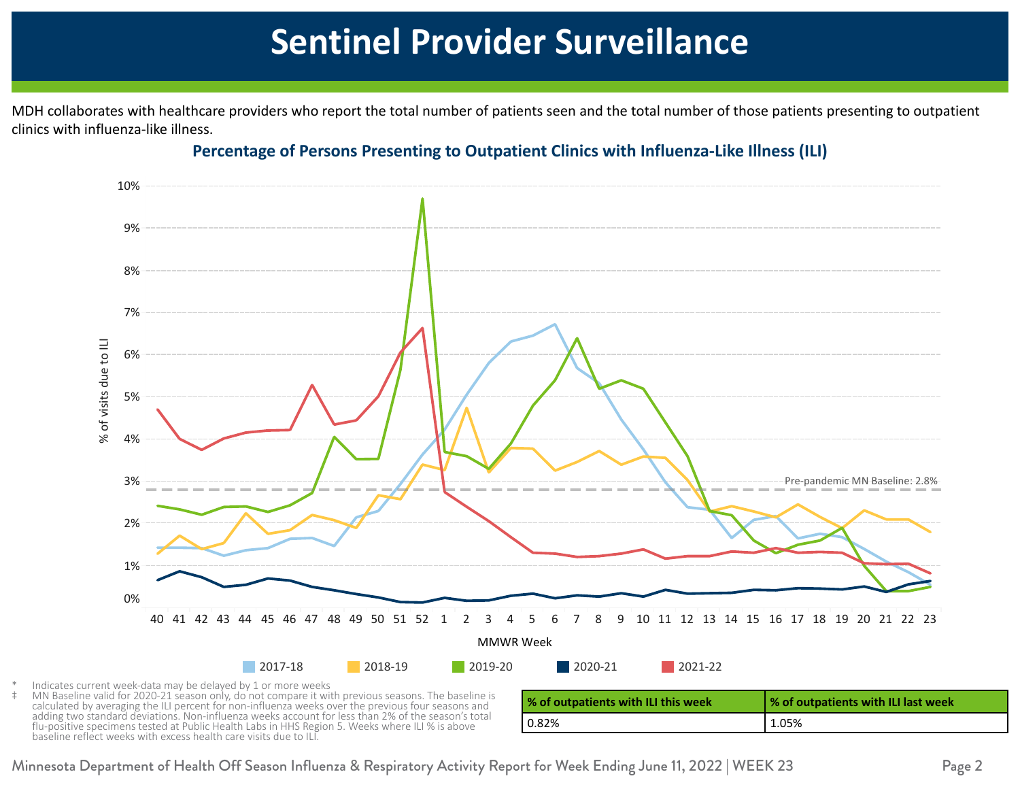## **Sentinel Provider Surveillance**

<span id="page-1-0"></span>45 6.0 1.0 4.0 4.0 1.0 MDH collaborates with healthcare providers who report the total number of patients seen and the total number of those patients presenting to outpatient clinics with influenza-like illness.



#### 48 9.0 0.0 7.0 1.0 1.0 **Percentage of Persons Presenting to Outpatient Clinics with Influenza-Like Illness (ILI)**

Indicates current week-data may be delayed by 1 or more weeks

MN Baseline valid for 2020-21 season only, do not compare it with previous seasons. The baseline is calculated by averaging the ILI percent for non-influenza weeks over the previous four seasons and adding two standard deviations. Non-influenza weeks account for less than 2% of the season's total flu-positive specimens tested at Public Health Labs in HHS Region 5. Weeks where ILI % is above baseline reflect weeks with excess health care visits due to ILI.

| % of outpatients with ILI this week | % of outpatients with ILI last week |
|-------------------------------------|-------------------------------------|
| 0.82%                               | 1.05%                               |

Minnesota Department of Health Off Season Influenza & Respiratory Activity Report for Week Ending June 11, 2022 | WEEK 23 Page 2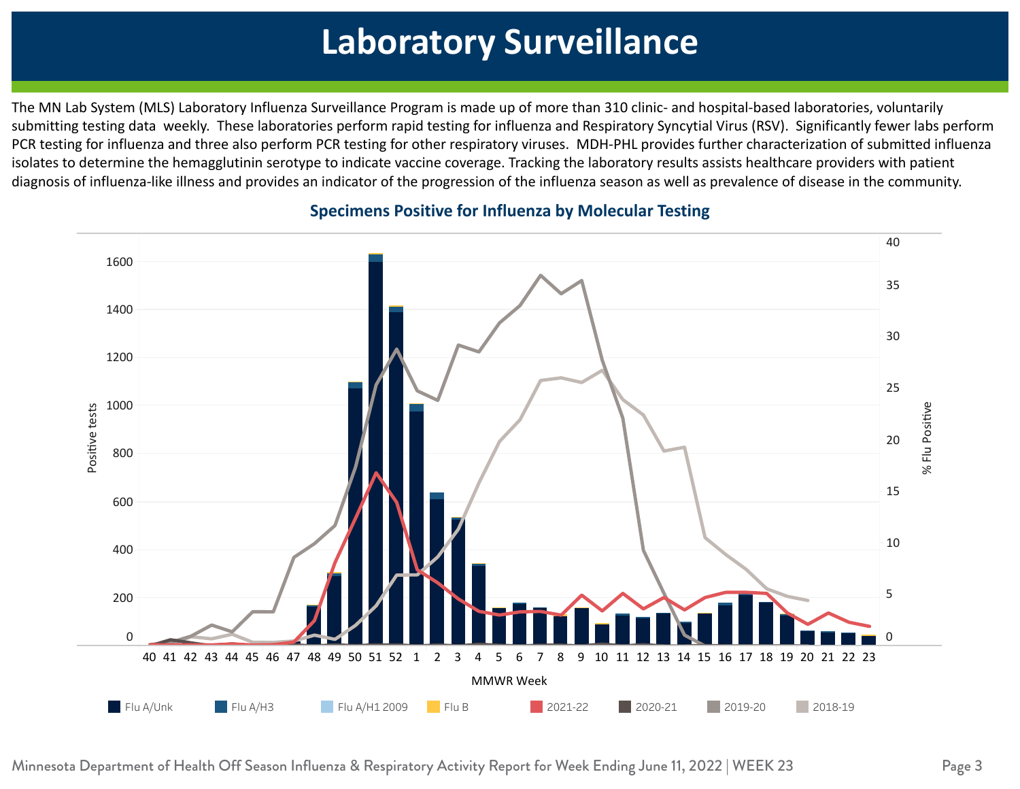#### <span id="page-2-0"></span> $\mathbf{1}_{\mathbf{1}_{\mathbf{1}}}$  , and the contract of  $\mathbf{1}_{\mathbf{1}}$  , and the contract of  $\mathbf{1}_{\mathbf{1}}$  , and the contract of  $\mathbf{1}_{\mathbf{1}}$  0.10 0.60 0.34 0.12 4 2 **Laboratory Surveillance**

 $\frac{1}{\sqrt{25}}$  0.09 0.35  $\frac{1}{\sqrt{25}}$  0.35  $\frac{1}{\sqrt{25}}$  0.35  $\frac{1}{\sqrt{25}}$  0.35  $\frac{1}{\sqrt{25}}$  0.35  $\frac{1}{\sqrt{25}}$  0.35  $\frac{1}{\sqrt{25}}$  0.35  $\frac{1}{\sqrt{25}}$  0.35  $\frac{1}{\sqrt{25}}$  0.35  $\frac{1}{\sqrt{25}}$  0.35  $\frac{1}{\sqrt{25}}$  0.35  $\frac{1}{\$ The MN Lab System (MLS) Laboratory Influenza Surveillance Program is made up of more than 310 clinic- and hospital-based laboratories, voluntarily submitting testing data weekly. These laboratories perform rapid testing for influenza and Respiratory Syncytial Virus (RSV). Significantly fewer labs perform PCR testing for influenza and three also perform PCR testing for other respiratory viruses. MDH-PHL provides further characterization of submitted influenza  $49.08 \pm 0.09$  and  $49.08 \pm 0.09$  11.69  $\pm 0.09$  11.69  $\pm 0.09$  11.69  $\pm 0.09$ isolates to determine the hemagglutinin serotype to indicate vaccine coverage. Tracking the laboratory results assists healthcare providers with patient diagnosis of influenza-like illness and provides an indicator of the progression of the influenza season as well as prevalence of disease in the community.



#### **1 11.39 1.39 Specimens Positive for Influenza by Molecular Testing**